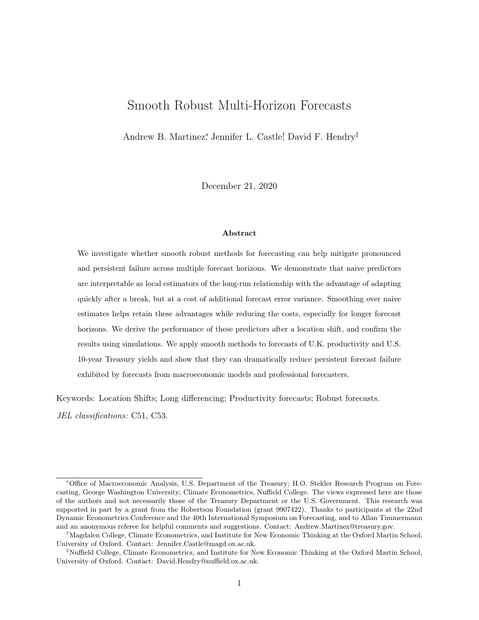# Smooth Robust Multi-Horizon Forecasts

Andrew B. Martinez<sup>∗</sup> , Jennifer L. Castle† , David F. Hendry‡

December 21, 2020

#### Abstract

We investigate whether smooth robust methods for forecasting can help mitigate pronounced and persistent failure across multiple forecast horizons. We demonstrate that naive predictors are interpretable as local estimators of the long-run relationship with the advantage of adapting quickly after a break, but at a cost of additional forecast error variance. Smoothing over naive estimates helps retain these advantages while reducing the costs, especially for longer forecast horizons. We derive the performance of these predictors after a location shift, and confirm the results using simulations. We apply smooth methods to forecasts of U.K. productivity and U.S. 10-year Treasury yields and show that they can dramatically reduce persistent forecast failure exhibited by forecasts from macroeconomic models and professional forecasters.

Keywords: Location Shifts; Long differencing; Productivity forecasts; Robust forecasts. JEL classifications: C51, C53.

<sup>∗</sup>Office of Macroeconomic Analysis, U.S. Department of the Treasury; H.O. Stekler Research Program on Forecasting, George Washington University; Climate Econometrics, Nuffield College. The views expressed here are those of the authors and not necessarily those of the Treasury Department or the U.S. Government. This research was supported in part by a grant from the Robertson Foundation (grant 9907422). Thanks to participants at the 22nd Dynamic Econometrics Conference and the 40th International Symposium on Forecasting, and to Allan Timmermann and an anonymous referee for helpful comments and suggestions. Contact: Andrew.Martinez@treasury.gov.

<sup>†</sup>Magdalen College, Climate Econometrics, and Institute for New Economic Thinking at the Oxford Martin School, University of Oxford. Contact: Jennifer.Castle@magd.ox.ac.uk.

<sup>‡</sup>Nuffield College, Climate Econometrics, and Institute for New Economic Thinking at the Oxford Martin School, University of Oxford. Contact: David.Hendry@nuffield.ox.ac.uk.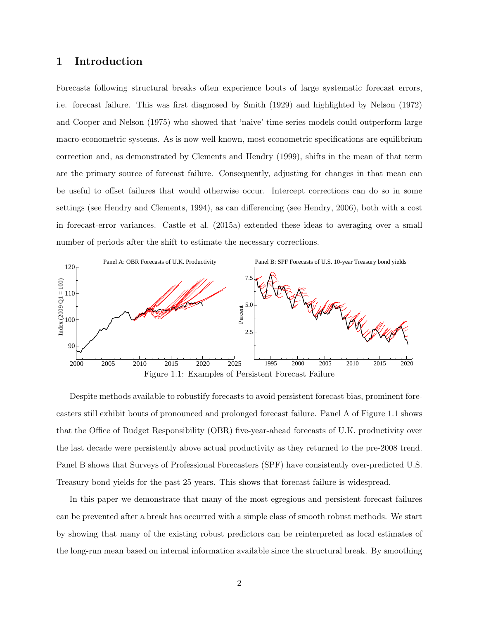## 1 Introduction

Forecasts following structural breaks often experience bouts of large systematic forecast errors, i.e. forecast failure. This was first diagnosed by Smith (1929) and highlighted by Nelson (1972) and Cooper and Nelson (1975) who showed that 'naive' time-series models could outperform large macro-econometric systems. As is now well known, most econometric specifications are equilibrium correction and, as demonstrated by Clements and Hendry (1999), shifts in the mean of that term are the primary source of forecast failure. Consequently, adjusting for changes in that mean can be useful to offset failures that would otherwise occur. Intercept corrections can do so in some settings (see Hendry and Clements, 1994), as can differencing (see Hendry, 2006), both with a cost in forecast-error variances. Castle et al. (2015a) extended these ideas to averaging over a small number of periods after the shift to estimate the necessary corrections.



Despite methods available to robustify forecasts to avoid persistent forecast bias, prominent forecasters still exhibit bouts of pronounced and prolonged forecast failure. Panel A of Figure 1.1 shows that the Office of Budget Responsibility (OBR) five-year-ahead forecasts of U.K. productivity over the last decade were persistently above actual productivity as they returned to the pre-2008 trend. Panel B shows that Surveys of Professional Forecasters (SPF) have consistently over-predicted U.S. Treasury bond yields for the past 25 years. This shows that forecast failure is widespread.

In this paper we demonstrate that many of the most egregious and persistent forecast failures can be prevented after a break has occurred with a simple class of smooth robust methods. We start by showing that many of the existing robust predictors can be reinterpreted as local estimates of the long-run mean based on internal information available since the structural break. By smoothing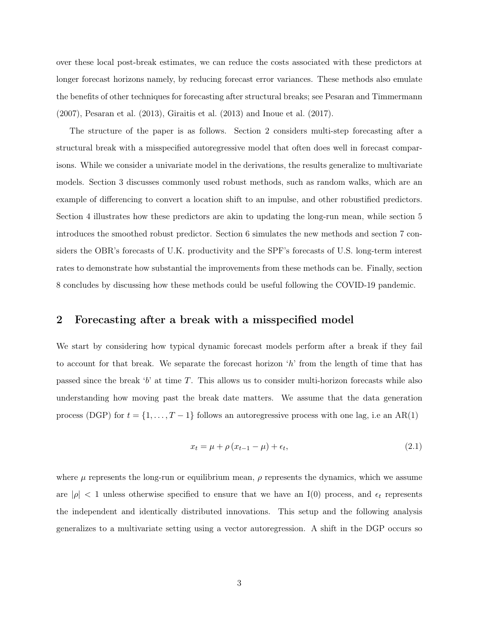over these local post-break estimates, we can reduce the costs associated with these predictors at longer forecast horizons namely, by reducing forecast error variances. These methods also emulate the benefits of other techniques for forecasting after structural breaks; see Pesaran and Timmermann (2007), Pesaran et al. (2013), Giraitis et al. (2013) and Inoue et al. (2017).

The structure of the paper is as follows. Section 2 considers multi-step forecasting after a structural break with a misspecified autoregressive model that often does well in forecast comparisons. While we consider a univariate model in the derivations, the results generalize to multivariate models. Section 3 discusses commonly used robust methods, such as random walks, which are an example of differencing to convert a location shift to an impulse, and other robustified predictors. Section 4 illustrates how these predictors are akin to updating the long-run mean, while section 5 introduces the smoothed robust predictor. Section 6 simulates the new methods and section 7 considers the OBR's forecasts of U.K. productivity and the SPF's forecasts of U.S. long-term interest rates to demonstrate how substantial the improvements from these methods can be. Finally, section 8 concludes by discussing how these methods could be useful following the COVID-19 pandemic.

## 2 Forecasting after a break with a misspecified model

We start by considering how typical dynamic forecast models perform after a break if they fail to account for that break. We separate the forecast horizon 'h' from the length of time that has passed since the break 'b' at time T. This allows us to consider multi-horizon forecasts while also understanding how moving past the break date matters. We assume that the data generation process (DGP) for  $t = \{1, \ldots, T-1\}$  follows an autoregressive process with one lag, i.e an AR(1)

$$
x_t = \mu + \rho \left( x_{t-1} - \mu \right) + \epsilon_t, \tag{2.1}
$$

where  $\mu$  represents the long-run or equilibrium mean,  $\rho$  represents the dynamics, which we assume are  $|\rho|$  < 1 unless otherwise specified to ensure that we have an I(0) process, and  $\epsilon_t$  represents the independent and identically distributed innovations. This setup and the following analysis generalizes to a multivariate setting using a vector autoregression. A shift in the DGP occurs so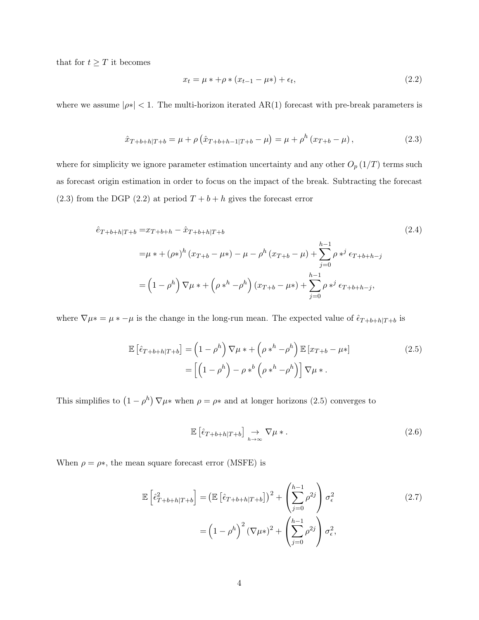that for  $t \geq T$  it becomes

$$
x_t = \mu * + \rho * (x_{t-1} - \mu*) + \epsilon_t, \tag{2.2}
$$

where we assume  $|\rho^*|$  < 1. The multi-horizon iterated AR(1) forecast with pre-break parameters is

$$
\hat{x}_{T+b+h|T+b} = \mu + \rho \left( \hat{x}_{T+b+h-1|T+b} - \mu \right) = \mu + \rho^h \left( x_{T+b} - \mu \right),\tag{2.3}
$$

where for simplicity we ignore parameter estimation uncertainty and any other  $O_p(1/T)$  terms such as forecast origin estimation in order to focus on the impact of the break. Subtracting the forecast (2.3) from the DGP (2.2) at period  $T + b + h$  gives the forecast error

$$
\hat{e}_{T+b+h|T+b} = x_{T+b+h} - \hat{x}_{T+b+h|T+b}
$$
\n
$$
= \mu * + (\rho * )^{h} (x_{T+b} - \mu * ) - \mu - \rho^{h} (x_{T+b} - \mu) + \sum_{j=0}^{h-1} \rho *^{j} \epsilon_{T+b+h-j}
$$
\n
$$
= (1 - \rho^{h}) \nabla \mu * + (\rho *^{h} - \rho^{h}) (x_{T+b} - \mu *) + \sum_{j=0}^{h-1} \rho *^{j} \epsilon_{T+b+h-j},
$$
\n(2.4)

where  $\nabla \mu * = \mu * -\mu$  is the change in the long-run mean. The expected value of  $\hat{\epsilon}_{T+b+h|T+b}$  is

$$
\mathbb{E}\left[\hat{\epsilon}_{T+b+h|T+b}\right] = \left(1-\rho^h\right)\nabla\mu * + \left(\rho *^h - \rho^h\right)\mathbb{E}\left[x_{T+b} - \mu*\right] \\
= \left[\left(1-\rho^h\right) - \rho *^b\left(\rho *^h - \rho^h\right)\right]\nabla\mu* .
$$
\n(2.5)

This simplifies to  $(1 - \rho^h) \nabla \mu^*$  when  $\rho = \rho^*$  and at longer horizons (2.5) converges to

$$
\mathbb{E}\left[\hat{\epsilon}_{T+b+h|T+b}\right] \underset{h\to\infty}{\to} \nabla\mu*.\tag{2.6}
$$

When  $\rho = \rho *$ , the mean square forecast error (MSFE) is

$$
\mathbb{E}\left[\hat{\epsilon}_{T+b+h|T+b}^{2}\right] = \left(\mathbb{E}\left[\hat{\epsilon}_{T+b+h|T+b}\right]\right)^{2} + \left(\sum_{j=0}^{h-1} \rho^{2j}\right)\sigma_{\epsilon}^{2}
$$
\n
$$
= \left(1 - \rho^{h}\right)^{2} \left(\nabla\mu\ast\right)^{2} + \left(\sum_{j=0}^{h-1} \rho^{2j}\right)\sigma_{\epsilon}^{2},\tag{2.7}
$$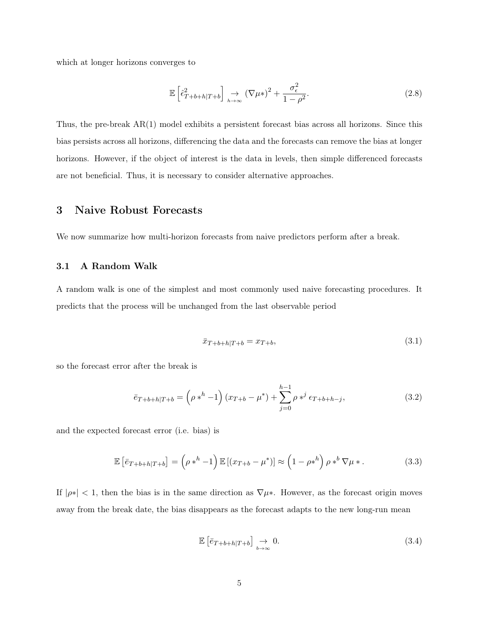which at longer horizons converges to

$$
\mathbb{E}\left[\hat{\epsilon}_{T+b+h|T+b}^2\right] \underset{h \to \infty}{\to} (\nabla \mu*)^2 + \frac{\sigma_\epsilon^2}{1-\rho^2}.\tag{2.8}
$$

Thus, the pre-break AR(1) model exhibits a persistent forecast bias across all horizons. Since this bias persists across all horizons, differencing the data and the forecasts can remove the bias at longer horizons. However, if the object of interest is the data in levels, then simple differenced forecasts are not beneficial. Thus, it is necessary to consider alternative approaches.

## 3 Naive Robust Forecasts

We now summarize how multi-horizon forecasts from naive predictors perform after a break.

### 3.1 A Random Walk

A random walk is one of the simplest and most commonly used naive forecasting procedures. It predicts that the process will be unchanged from the last observable period

$$
\bar{x}_{T+b+h|T+b} = x_{T+b},\tag{3.1}
$$

so the forecast error after the break is

$$
\bar{e}_{T+b+h|T+b} = \left(\rho \ast^h - 1\right) \left(x_{T+b} - \mu^*\right) + \sum_{j=0}^{h-1} \rho \ast^j \epsilon_{T+b+h-j},\tag{3.2}
$$

and the expected forecast error (i.e. bias) is

$$
\mathbb{E}\left[\bar{e}_{T+b+h|T+b}\right] = \left(\rho \ast^h - 1\right) \mathbb{E}\left[\left(x_{T+b} - \mu^*\right)\right] \approx \left(1 - \rho \ast^h\right) \rho \ast^b \nabla \mu \ast. \tag{3.3}
$$

If  $|\rho^*| < 1$ , then the bias is in the same direction as  $\nabla \mu^*$ . However, as the forecast origin moves away from the break date, the bias disappears as the forecast adapts to the new long-run mean

$$
\mathbb{E}\left[\bar{e}_{T+b+h|T+b}\right] \underset{b\to\infty}{\to} 0. \tag{3.4}
$$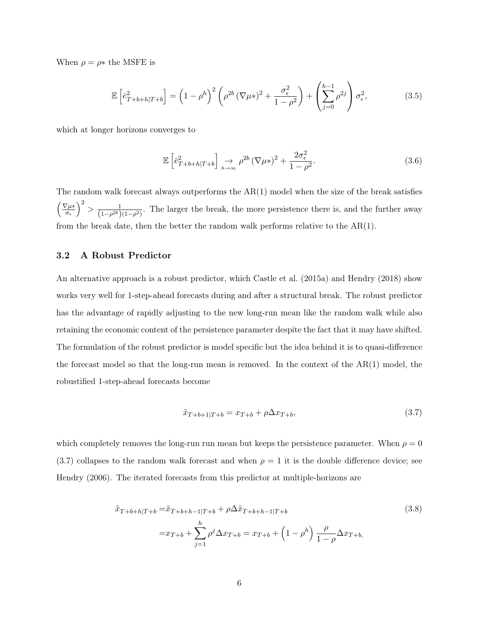When  $\rho = \rho *$  the MSFE is

$$
\mathbb{E}\left[\bar{e}_{T+b+h|T+b}^{2}\right] = \left(1-\rho^{h}\right)^{2}\left(\rho^{2b}\left(\nabla\mu\ast\right)^{2}+\frac{\sigma_{\epsilon}^{2}}{1-\rho^{2}}\right) + \left(\sum_{j=0}^{h-1}\rho^{2j}\right)\sigma_{\epsilon}^{2},\tag{3.5}
$$

which at longer horizons converges to

$$
\mathbb{E}\left[\bar{e}_{T+b+h|T+b}^{2}\right] \underset{h \to \infty}{\to} \rho^{2b} \left(\nabla\mu*\right)^{2} + \frac{2\sigma_{\epsilon}^{2}}{1-\rho^{2}}.
$$
\n(3.6)

The random walk forecast always outperforms the  $AR(1)$  model when the size of the break satisfies  $\sqrt{\nabla \mu^*}$  $\left(\frac{\gamma_{\mu*}}{\sigma_{\epsilon}}\right)^2 > \frac{1}{(1-\rho^{2b})^2}$  $\frac{1}{(1-\rho^{2b})(1-\rho^2)}$ . The larger the break, the more persistence there is, and the further away from the break date, then the better the random walk performs relative to the  $AR(1)$ .

#### 3.2 A Robust Predictor

An alternative approach is a robust predictor, which Castle et al. (2015a) and Hendry (2018) show works very well for 1-step-ahead forecasts during and after a structural break. The robust predictor has the advantage of rapidly adjusting to the new long-run mean like the random walk while also retaining the economic content of the persistence parameter despite the fact that it may have shifted. The formulation of the robust predictor is model specific but the idea behind it is to quasi-difference the forecast model so that the long-run mean is removed. In the context of the  $AR(1)$  model, the robustified 1-step-ahead forecasts become

$$
\tilde{x}_{T+b+1|T+b} = x_{T+b} + \rho \Delta x_{T+b},\tag{3.7}
$$

which completely removes the long-run run mean but keeps the persistence parameter. When  $\rho = 0$ (3.7) collapses to the random walk forecast and when  $\rho = 1$  it is the double difference device; see Hendry (2006). The iterated forecasts from this predictor at multiple-horizons are

$$
\tilde{x}_{T+b+h|T+b} = \tilde{x}_{T+b+h-1|T+b} + \rho \Delta \tilde{x}_{T+b+h-1|T+b}
$$
\n
$$
= x_{T+b} + \sum_{j=1}^{h} \rho^j \Delta x_{T+b} = x_{T+b} + \left(1 - \rho^h\right) \frac{\rho}{1 - \rho} \Delta x_{T+b},
$$
\n(3.8)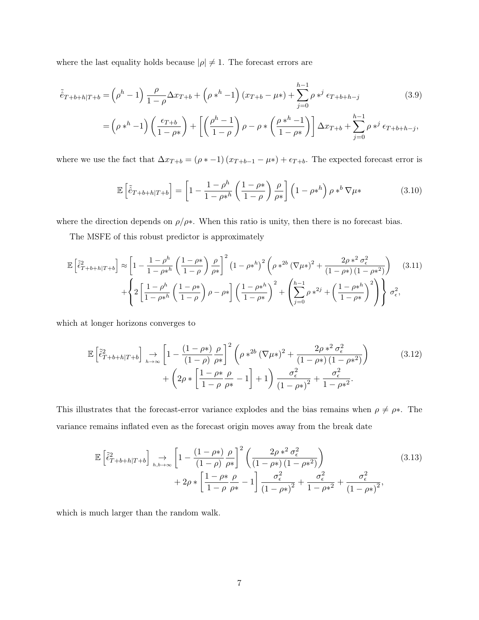where the last equality holds because  $|\rho| \neq 1$ . The forecast errors are

$$
\tilde{e}_{T+b+h|T+b} = \left(\rho^h - 1\right) \frac{\rho}{1-\rho} \Delta x_{T+b} + \left(\rho \ast^h - 1\right) (x_{T+b} - \mu \ast) + \sum_{j=0}^{h-1} \rho \ast^j \epsilon_{T+b+h-j} \tag{3.9}
$$
\n
$$
= \left(\rho \ast^h - 1\right) \left(\frac{\epsilon_{T+b}}{1-\rho \ast}\right) + \left[\left(\frac{\rho^h - 1}{1-\rho}\right) \rho - \rho \ast \left(\frac{\rho \ast^h - 1}{1-\rho \ast}\right)\right] \Delta x_{T+b} + \sum_{j=0}^{h-1} \rho \ast^j \epsilon_{T+b+h-j},
$$

where we use the fact that  $\Delta x_{T+b} = (\rho * -1)(x_{T+b-1} - \mu *) + \epsilon_{T+b}$ . The expected forecast error is

$$
\mathbb{E}\left[\tilde{\hat{e}}_{T+b+h|T+b}\right] = \left[1 - \frac{1-\rho^h}{1-\rho^{*h}}\left(\frac{1-\rho^*}{1-\rho}\right)\frac{\rho}{\rho^*}\right] \left(1-\rho^{*h}\right)\rho^{*b}\nabla\mu^*
$$
(3.10)

where the direction depends on  $\rho/\rho^*$ . When this ratio is unity, then there is no forecast bias.

The MSFE of this robust predictor is approximately

$$
\mathbb{E}\left[\tilde{\hat{\epsilon}}_{T+b+h|T+b}^{2}\right] \approx \left[1 - \frac{1-\rho^{h}}{1-\rho^{*h}}\left(\frac{1-\rho^{*}}{1-\rho}\right)\frac{\rho}{\rho^{*}}\right]^{2}\left(1-\rho^{*h}\right)^{2}\left(\rho^{*2b}\left(\nabla\mu^{*}\right)^{2} + \frac{2\rho^{*2}\sigma_{\epsilon}^{2}}{\left(1-\rho^{*}\right)\left(1-\rho^{*2}\right)}\right) \tag{3.11}
$$
\n
$$
+ \left\{2\left[\frac{1-\rho^{h}}{1-\rho^{*h}}\left(\frac{1-\rho^{*}}{1-\rho}\right)\rho - \rho^{*}\right]\left(\frac{1-\rho^{*h}}{1-\rho^{*}}\right)^{2} + \left(\sum_{j=0}^{h-1}\rho^{*2j} + \left(\frac{1-\rho^{*h}}{1-\rho^{*}}\right)^{2}\right)\right\}\sigma_{\epsilon}^{2},
$$

which at longer horizons converges to

$$
\mathbb{E}\left[\tilde{\hat{\epsilon}}_{T+b+h|T+b}^{2}\right] \underset{h\to\infty}{\to} \left[1-\frac{(1-\rho*)}{(1-\rho)}\frac{\rho}{\rho*}\right]^{2}\left(\rho*^{2b}(\nabla\mu*)^{2}+\frac{2\rho*^{2}\sigma_{\epsilon}^{2}}{(1-\rho*)\left(1-\rho*^{2}\right)}\right) \qquad (3.12)
$$

$$
+\left(2\rho*\left[\frac{1-\rho*}{1-\rho}\frac{\rho}{\rho*}-1\right]+1\right)\frac{\sigma_{\epsilon}^{2}}{(1-\rho*)^{2}}+\frac{\sigma_{\epsilon}^{2}}{1-\rho*^{2}}.
$$

This illustrates that the forecast-error variance explodes and the bias remains when  $\rho \neq \rho^*$ . The variance remains inflated even as the forecast origin moves away from the break date

$$
\mathbb{E}\left[\tilde{\hat{\epsilon}}_{T+b+h|T+b}^{2}\right] \underset{h,b\to\infty}{\to} \left[1-\frac{(1-\rho*)}{(1-\rho)}\frac{\rho}{\rho*}\right]^{2}\left(\frac{2\rho*^{2}\sigma_{\epsilon}^{2}}{(1-\rho*)\left(1-\rho*^{2}\right)}\right) + 2\rho*\left[\frac{1-\rho*}{1-\rho}\frac{\rho}{\rho*}-1\right]\frac{\sigma_{\epsilon}^{2}}{(1-\rho*)^{2}}+\frac{\sigma_{\epsilon}^{2}}{1-\rho*^{2}}+\frac{\sigma_{\epsilon}^{2}}{(1-\rho*)^{2}},\tag{3.13}
$$

which is much larger than the random walk.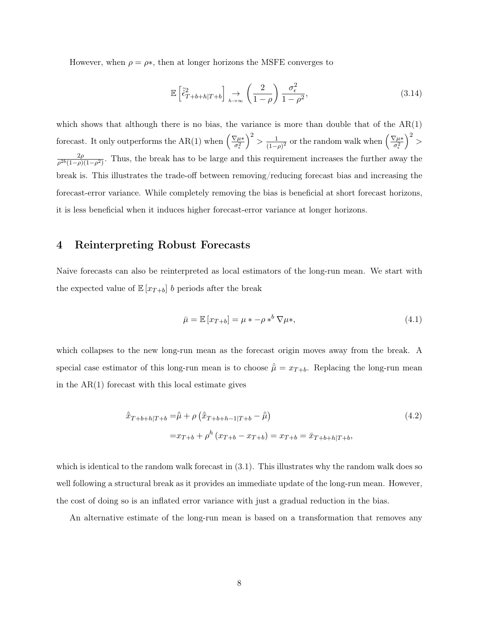However, when  $\rho = \rho^*$ , then at longer horizons the MSFE converges to

$$
\mathbb{E}\left[\tilde{\hat{\epsilon}}_{T+b+h|T+b}^2\right] \underset{h \to \infty}{\to} \left(\frac{2}{1-\rho}\right) \frac{\sigma_{\epsilon}^2}{1-\rho^2},\tag{3.14}
$$

which shows that although there is no bias, the variance is more than double that of the  $AR(1)$ forecast. It only outperforms the AR(1) when  $\left(\frac{\nabla \mu^*}{\sigma^2}\right)$  $\overline{\sigma_{\epsilon}^2}$  $\big)^2 > \frac{1}{(1)}$  $\frac{1}{(1-\rho)^2}$  or the random walk when  $\left(\frac{\nabla \mu^*}{\sigma_{\epsilon}^2}\right)$  $\overline{\sigma_{\epsilon}^2}$  $\big)^2$  $2\rho$  $\frac{2\rho}{\rho^{2b}(1-\rho)(1-\rho^2)}$ . Thus, the break has to be large and this requirement increases the further away the break is. This illustrates the trade-off between removing/reducing forecast bias and increasing the forecast-error variance. While completely removing the bias is beneficial at short forecast horizons, it is less beneficial when it induces higher forecast-error variance at longer horizons.

## 4 Reinterpreting Robust Forecasts

Naive forecasts can also be reinterpreted as local estimators of the long-run mean. We start with the expected value of  $\mathbb{E}\left[ x_{T +b} \right]$   $b$  periods after the break

$$
\bar{\mu} = \mathbb{E}\left[x_{T+b}\right] = \mu * -\rho *^{b} \nabla \mu *,\tag{4.1}
$$

which collapses to the new long-run mean as the forecast origin moves away from the break. A special case estimator of this long-run mean is to choose  $\hat{\bar{\mu}} = x_{T+b}$ . Replacing the long-run mean in the  $AR(1)$  forecast with this local estimate gives

$$
\hat{\bar{x}}_{T+b+h|T+b} = \hat{\bar{\mu}} + \rho \left( \hat{\bar{x}}_{T+b+h-1|T+b} - \hat{\bar{\mu}} \right)
$$
\n
$$
= x_{T+b} + \rho^h \left( x_{T+b} - x_{T+b} \right) = x_{T+b} = \bar{x}_{T+b+h|T+b},
$$
\n(4.2)

which is identical to the random walk forecast in  $(3.1)$ . This illustrates why the random walk does so well following a structural break as it provides an immediate update of the long-run mean. However, the cost of doing so is an inflated error variance with just a gradual reduction in the bias.

An alternative estimate of the long-run mean is based on a transformation that removes any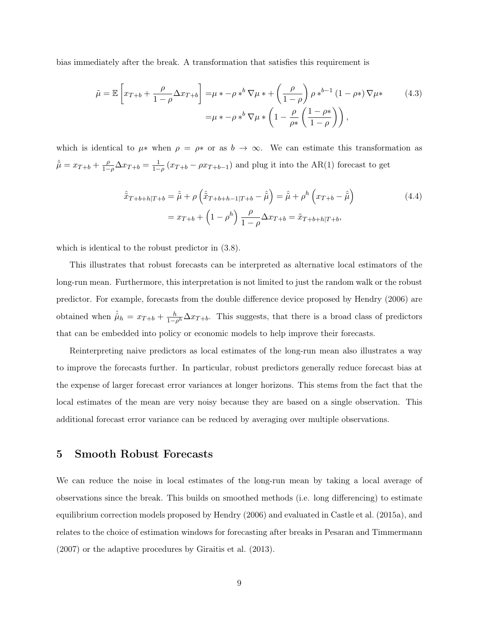bias immediately after the break. A transformation that satisfies this requirement is

$$
\tilde{\mu} = \mathbb{E}\left[x_{T+b} + \frac{\rho}{1-\rho}\Delta x_{T+b}\right] = \mu * -\rho *^b \nabla \mu * + \left(\frac{\rho}{1-\rho}\right)\rho *^{b-1} (1-\rho*) \nabla \mu * \n= \mu * -\rho *^b \nabla \mu * \left(1 - \frac{\rho}{\rho*} \left(\frac{1-\rho*}{1-\rho}\right)\right),
$$
\n(4.3)

which is identical to  $\mu^*$  when  $\rho = \rho^*$  or as  $b \to \infty$ . We can estimate this transformation as  $\hat{\tilde{\mu}} = x_{T+b} + \frac{\rho}{1-a}$  $\frac{\rho}{1-\rho}\Delta x_{T+b} = \frac{1}{1-\rho}(x_{T+b} - \rho x_{T+b-1})$  and plug it into the AR(1) forecast to get

$$
\hat{\tilde{x}}_{T+b+h|T+b} = \hat{\tilde{\mu}} + \rho \left( \hat{\tilde{x}}_{T+b+h-1|T+b} - \hat{\tilde{\mu}} \right) = \hat{\tilde{\mu}} + \rho^h \left( x_{T+b} - \hat{\tilde{\mu}} \right) \n= x_{T+b} + \left( 1 - \rho^h \right) \frac{\rho}{1-\rho} \Delta x_{T+b} = \tilde{x}_{T+b+h|T+b},
$$
\n(4.4)

which is identical to the robust predictor in (3.8).

This illustrates that robust forecasts can be interpreted as alternative local estimators of the long-run mean. Furthermore, this interpretation is not limited to just the random walk or the robust predictor. For example, forecasts from the double difference device proposed by Hendry (2006) are obtained when  $\hat{\hat{\mu}}_h = x_{T+b} + \frac{h}{1-h}$  $\frac{h}{1-\rho^h} \Delta x_{T+b}$ . This suggests, that there is a broad class of predictors that can be embedded into policy or economic models to help improve their forecasts.

Reinterpreting naive predictors as local estimates of the long-run mean also illustrates a way to improve the forecasts further. In particular, robust predictors generally reduce forecast bias at the expense of larger forecast error variances at longer horizons. This stems from the fact that the local estimates of the mean are very noisy because they are based on a single observation. This additional forecast error variance can be reduced by averaging over multiple observations.

### 5 Smooth Robust Forecasts

We can reduce the noise in local estimates of the long-run mean by taking a local average of observations since the break. This builds on smoothed methods (i.e. long differencing) to estimate equilibrium correction models proposed by Hendry (2006) and evaluated in Castle et al. (2015a), and relates to the choice of estimation windows for forecasting after breaks in Pesaran and Timmermann (2007) or the adaptive procedures by Giraitis et al. (2013).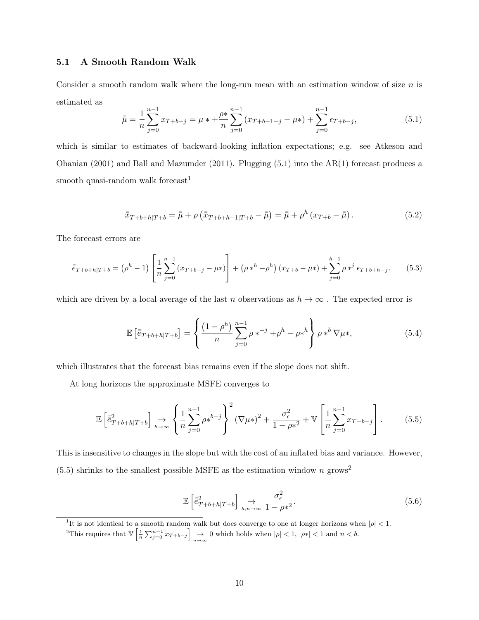#### 5.1 A Smooth Random Walk

Consider a smooth random walk where the long-run mean with an estimation window of size  $n$  is estimated as

$$
\bar{\mu} = \frac{1}{n} \sum_{j=0}^{n-1} x_{T+b-j} = \mu * + \frac{\rho *}{n} \sum_{j=0}^{n-1} (x_{T+b-1-j} - \mu *) + \sum_{j=0}^{n-1} \epsilon_{T+b-j},
$$
\n(5.1)

which is similar to estimates of backward-looking inflation expectations; e.g. see Atkeson and Ohanian (2001) and Ball and Mazumder (2011). Plugging (5.1) into the AR(1) forecast produces a smooth quasi-random walk forecast<sup>1</sup>

$$
\bar{\bar{x}}_{T+b+h|T+b} = \bar{\bar{\mu}} + \rho \left( \bar{\bar{x}}_{T+b+h-1|T+b} - \bar{\bar{\mu}} \right) = \bar{\bar{\mu}} + \rho^h \left( x_{T+b} - \bar{\bar{\mu}} \right). \tag{5.2}
$$

The forecast errors are

$$
\bar{e}_{T+b+h|T+b} = (\rho^h - 1) \left[ \frac{1}{n} \sum_{j=0}^{n-1} (x_{T+b-j} - \mu*) \right] + (\rho *^h - \rho^h) (x_{T+b} - \mu*) + \sum_{j=0}^{h-1} \rho *^j \epsilon_{T+b+h-j}.
$$
 (5.3)

which are driven by a local average of the last n observations as  $h \to \infty$ . The expected error is

$$
\mathbb{E}\left[\bar{e}_{T+b+h|T+b}\right] = \left\{ \frac{(1-\rho^h)}{n} \sum_{j=0}^{n-1} \rho \ast^{-j} + \rho^h - \rho \ast^h \right\} \rho \ast^b \nabla \mu \ast,
$$
\n(5.4)

which illustrates that the forecast bias remains even if the slope does not shift.

At long horizons the approximate MSFE converges to

$$
\mathbb{E}\left[\bar{\bar{e}}_{T+b+h|T+b}^{2}\right] \underset{h\to\infty}{\to} \left\{\frac{1}{n}\sum_{j=0}^{n-1}\rho^{*b-j}\right\}^{2} \left(\nabla\mu^{*}\right)^{2} + \frac{\sigma_{\epsilon}^{2}}{1-\rho^{*2}} + \mathbb{V}\left[\frac{1}{n}\sum_{j=0}^{n-1}x_{T+b-j}\right].\tag{5.5}
$$

This is insensitive to changes in the slope but with the cost of an inflated bias and variance. However,  $(5.5)$  shrinks to the smallest possible MSFE as the estimation window n grows<sup>2</sup>

$$
\mathbb{E}\left[\bar{\bar{e}}_{T+b+h|T+b}^2\right] \underset{h,n\to\infty}{\to} \frac{\sigma_\epsilon^2}{1-\rho*^2}.\tag{5.6}
$$

<sup>1</sup>It is not identical to a smooth random walk but does converge to one at longer horizons when  $|\rho| < 1$ .

<sup>&</sup>lt;sup>2</sup>This requires that  $\mathbb{V}\left[\frac{1}{n}\sum_{j=0}^{n-1} x_{T+b-j}\right] \underset{n\to\infty}{\to} 0$  which holds when  $|\rho| < 1$ ,  $|\rho*| < 1$  and  $n < b$ .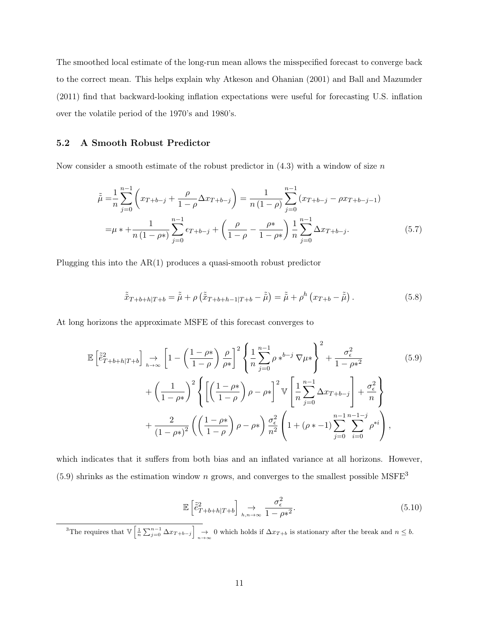The smoothed local estimate of the long-run mean allows the misspecified forecast to converge back to the correct mean. This helps explain why Atkeson and Ohanian (2001) and Ball and Mazumder (2011) find that backward-looking inflation expectations were useful for forecasting U.S. inflation over the volatile period of the 1970's and 1980's.

#### 5.2 A Smooth Robust Predictor

Now consider a smooth estimate of the robust predictor in  $(4.3)$  with a window of size n

$$
\tilde{\mu} = \frac{1}{n} \sum_{j=0}^{n-1} \left( x_{T+b-j} + \frac{\rho}{1-\rho} \Delta x_{T+b-j} \right) = \frac{1}{n(1-\rho)} \sum_{j=0}^{n-1} \left( x_{T+b-j} - \rho x_{T+b-j-1} \right)
$$
\n
$$
= \mu * + \frac{1}{n(1-\rho*)} \sum_{j=0}^{n-1} \epsilon_{T+b-j} + \left( \frac{\rho}{1-\rho} - \frac{\rho *}{1-\rho *} \right) \frac{1}{n} \sum_{j=0}^{n-1} \Delta x_{T+b-j}.
$$
\n(5.7)

Plugging this into the  $AR(1)$  produces a quasi-smooth robust predictor

$$
\tilde{\tilde{x}}_{T+b+h|T+b} = \tilde{\tilde{\mu}} + \rho \left( \tilde{\tilde{x}}_{T+b+h-1|T+b} - \tilde{\tilde{\mu}} \right) = \tilde{\tilde{\mu}} + \rho^h \left( x_{T+b} - \tilde{\tilde{\mu}} \right). \tag{5.8}
$$

At long horizons the approximate MSFE of this forecast converges to

$$
\mathbb{E}\left[\tilde{e}_{T+b+h|T+b}^{2}\right] \underset{h\to\infty}{\to} \left[1-\left(\frac{1-\rho*}{1-\rho}\right)\frac{\rho}{\rho*}\right]^{2}\left\{\frac{1}{n}\sum_{j=0}^{n-1}\rho*^{b-j}\nabla\mu*\right\}^{2} + \frac{\sigma_{\epsilon}^{2}}{1-\rho*^{2}} + \left(\frac{1}{1-\rho*}\right)^{2}\left\{\left[\left(\frac{1-\rho*}{1-\rho}\right)\rho-\rho*\right]^{2}\nabla\left[\frac{1}{n}\sum_{j=0}^{n-1}\Delta x_{T+b-j}\right] + \frac{\sigma_{\epsilon}^{2}}{n}\right\} + \frac{2}{(1-\rho*)^{2}}\left(\left(\frac{1-\rho*}{1-\rho}\right)\rho-\rho*\right)\frac{\sigma_{\epsilon}^{2}}{n^{2}}\left(1+(\rho*-1)\sum_{j=0}^{n-1}\sum_{i=0}^{n-1-j}\rho^{*i}\right),
$$
\n(5.9)

which indicates that it suffers from both bias and an inflated variance at all horizons. However,  $(5.9)$  shrinks as the estimation window n grows, and converges to the smallest possible MSFE<sup>3</sup>

$$
\mathbb{E}\left[\tilde{\tilde{e}}_{T+b+h|T+b}^{2}\right] \underset{h,n\to\infty}{\to} \frac{\sigma_{\epsilon}^{2}}{1-\rho\ast^{2}}.
$$
\n(5.10)

<sup>3</sup>The requires that  $\mathbb{V}\left[\frac{1}{n}\sum_{j=0}^{n-1}\Delta x_{T+b-j}\right] \to 0$  which holds if  $\Delta x_{T+b}$  is stationary after the break and  $n \leq b$ .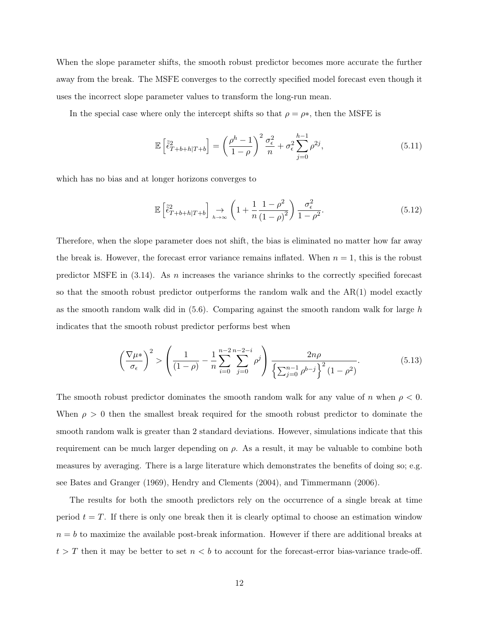When the slope parameter shifts, the smooth robust predictor becomes more accurate the further away from the break. The MSFE converges to the correctly specified model forecast even though it uses the incorrect slope parameter values to transform the long-run mean.

In the special case where only the intercept shifts so that  $\rho = \rho^*$ , then the MSFE is

$$
\mathbb{E}\left[\tilde{\tilde{\epsilon}}_{T+b+h|T+b}^{2}\right] = \left(\frac{\rho^{h}-1}{1-\rho}\right)^{2} \frac{\sigma_{\epsilon}^{2}}{n} + \sigma_{\epsilon}^{2} \sum_{j=0}^{h-1} \rho^{2j},\tag{5.11}
$$

which has no bias and at longer horizons converges to

$$
\mathbb{E}\left[\tilde{\tilde{\epsilon}}_{T+b+h|T+b}^{2}\right] \underset{h\to\infty}{\to} \left(1+\frac{1}{n}\frac{1-\rho^{2}}{(1-\rho)^{2}}\right)\frac{\sigma_{\epsilon}^{2}}{1-\rho^{2}}.\tag{5.12}
$$

Therefore, when the slope parameter does not shift, the bias is eliminated no matter how far away the break is. However, the forecast error variance remains inflated. When  $n = 1$ , this is the robust predictor MSFE in  $(3.14)$ . As *n* increases the variance shrinks to the correctly specified forecast so that the smooth robust predictor outperforms the random walk and the AR(1) model exactly as the smooth random walk did in  $(5.6)$ . Comparing against the smooth random walk for large h indicates that the smooth robust predictor performs best when

$$
\left(\frac{\nabla \mu *}{\sigma_{\epsilon}}\right)^2 > \left(\frac{1}{(1-\rho)} - \frac{1}{n} \sum_{i=0}^{n-2} \sum_{j=0}^{n-2-i} \rho^j\right) \frac{2n\rho}{\left\{\sum_{j=0}^{n-1} \rho^{b-j}\right\}^2 (1-\rho^2)}.
$$
(5.13)

The smooth robust predictor dominates the smooth random walk for any value of n when  $\rho < 0$ . When  $\rho > 0$  then the smallest break required for the smooth robust predictor to dominate the smooth random walk is greater than 2 standard deviations. However, simulations indicate that this requirement can be much larger depending on  $\rho$ . As a result, it may be valuable to combine both measures by averaging. There is a large literature which demonstrates the benefits of doing so; e.g. see Bates and Granger (1969), Hendry and Clements (2004), and Timmermann (2006).

The results for both the smooth predictors rely on the occurrence of a single break at time period  $t = T$ . If there is only one break then it is clearly optimal to choose an estimation window  $n = b$  to maximize the available post-break information. However if there are additional breaks at  $t > T$  then it may be better to set  $n < b$  to account for the forecast-error bias-variance trade-off.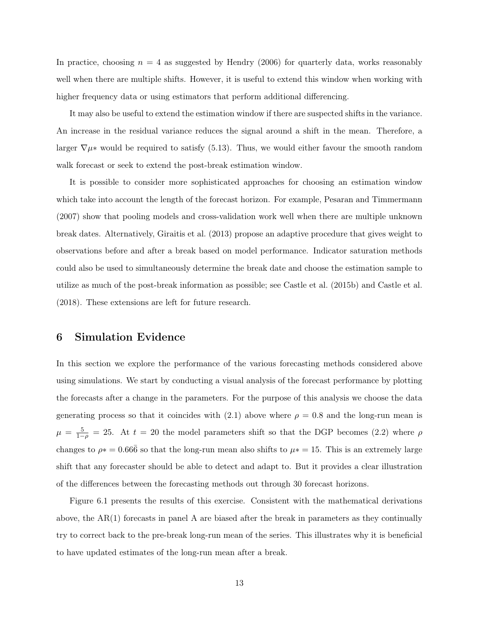In practice, choosing  $n = 4$  as suggested by Hendry (2006) for quarterly data, works reasonably well when there are multiple shifts. However, it is useful to extend this window when working with higher frequency data or using estimators that perform additional differencing.

It may also be useful to extend the estimation window if there are suspected shifts in the variance. An increase in the residual variance reduces the signal around a shift in the mean. Therefore, a larger  $\nabla \mu^*$  would be required to satisfy (5.13). Thus, we would either favour the smooth random walk forecast or seek to extend the post-break estimation window.

It is possible to consider more sophisticated approaches for choosing an estimation window which take into account the length of the forecast horizon. For example, Pesaran and Timmermann (2007) show that pooling models and cross-validation work well when there are multiple unknown break dates. Alternatively, Giraitis et al. (2013) propose an adaptive procedure that gives weight to observations before and after a break based on model performance. Indicator saturation methods could also be used to simultaneously determine the break date and choose the estimation sample to utilize as much of the post-break information as possible; see Castle et al. (2015b) and Castle et al. (2018). These extensions are left for future research.

## 6 Simulation Evidence

In this section we explore the performance of the various forecasting methods considered above using simulations. We start by conducting a visual analysis of the forecast performance by plotting the forecasts after a change in the parameters. For the purpose of this analysis we choose the data generating process so that it coincides with  $(2.1)$  above where  $\rho = 0.8$  and the long-run mean is  $\mu = \frac{5}{1-\rho} = 25$ . At  $t = 20$  the model parameters shift so that the DGP becomes (2.2) where  $\rho$ changes to  $\rho* = 0.666$  so that the long-run mean also shifts to  $\mu* = 15$ . This is an extremely large shift that any forecaster should be able to detect and adapt to. But it provides a clear illustration of the differences between the forecasting methods out through 30 forecast horizons.

Figure 6.1 presents the results of this exercise. Consistent with the mathematical derivations above, the AR(1) forecasts in panel A are biased after the break in parameters as they continually try to correct back to the pre-break long-run mean of the series. This illustrates why it is beneficial to have updated estimates of the long-run mean after a break.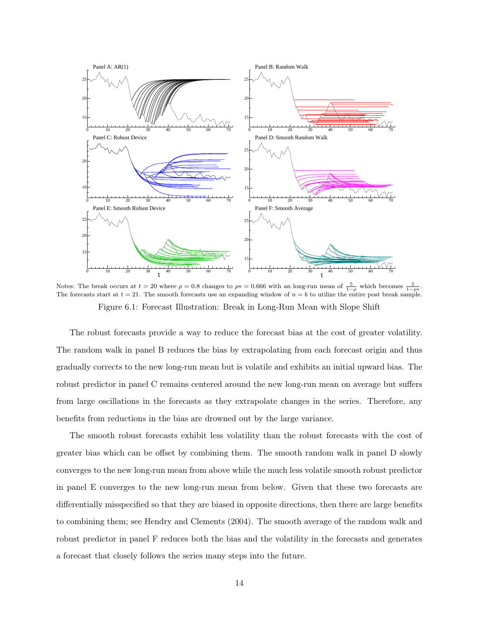

Notes: The break occurs at  $t = 20$  where  $\rho = 0.8$  changes to  $\rho * = 0.666$  with an long-run mean of  $\frac{5}{1-\rho}$  which becomes  $\frac{5}{1-\rho*}$ . The forecasts start at  $t = 21$ . The smooth forecasts use an expanding window of  $n = b$  to utilize the entire post break sample. Figure 6.1: Forecast Illustration: Break in Long-Run Mean with Slope Shift

The robust forecasts provide a way to reduce the forecast bias at the cost of greater volatility. The random walk in panel B reduces the bias by extrapolating from each forecast origin and thus gradually corrects to the new long-run mean but is volatile and exhibits an initial upward bias. The robust predictor in panel C remains centered around the new long-run mean on average but suffers from large oscillations in the forecasts as they extrapolate changes in the series. Therefore, any benefits from reductions in the bias are drowned out by the large variance.

The smooth robust forecasts exhibit less volatility than the robust forecasts with the cost of greater bias which can be offset by combining them. The smooth random walk in panel D slowly converges to the new long-run mean from above while the much less volatile smooth robust predictor in panel E converges to the new long-run mean from below. Given that these two forecasts are differentially misspecified so that they are biased in opposite directions, then there are large benefits to combining them; see Hendry and Clements (2004). The smooth average of the random walk and robust predictor in panel F reduces both the bias and the volatility in the forecasts and generates a forecast that closely follows the series many steps into the future.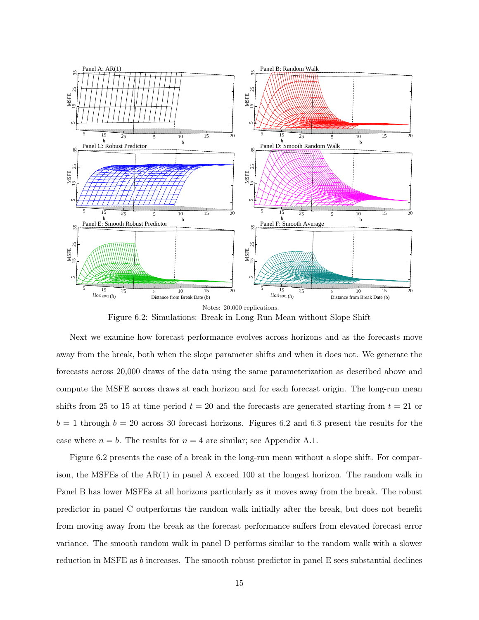

Figure 6.2: Simulations: Break in Long-Run Mean without Slope Shift

Next we examine how forecast performance evolves across horizons and as the forecasts move away from the break, both when the slope parameter shifts and when it does not. We generate the forecasts across 20,000 draws of the data using the same parameterization as described above and compute the MSFE across draws at each horizon and for each forecast origin. The long-run mean shifts from 25 to 15 at time period  $t = 20$  and the forecasts are generated starting from  $t = 21$  or  $b = 1$  through  $b = 20$  across 30 forecast horizons. Figures 6.2 and 6.3 present the results for the case where  $n = b$ . The results for  $n = 4$  are similar; see Appendix A.1.

Figure 6.2 presents the case of a break in the long-run mean without a slope shift. For comparison, the MSFEs of the AR(1) in panel A exceed 100 at the longest horizon. The random walk in Panel B has lower MSFEs at all horizons particularly as it moves away from the break. The robust predictor in panel C outperforms the random walk initially after the break, but does not benefit from moving away from the break as the forecast performance suffers from elevated forecast error variance. The smooth random walk in panel D performs similar to the random walk with a slower reduction in MSFE as b increases. The smooth robust predictor in panel E sees substantial declines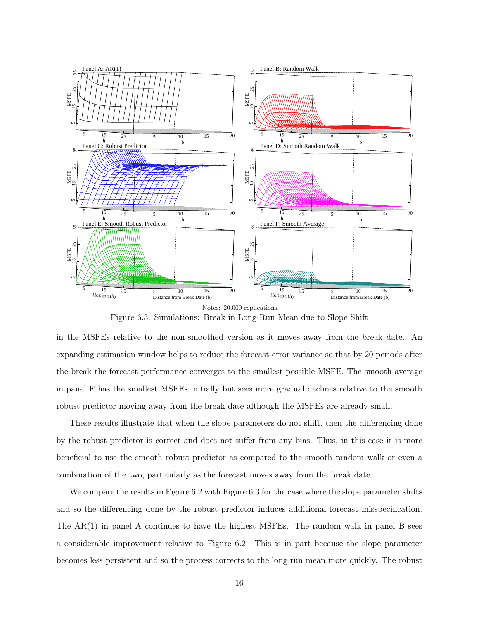

Figure 6.3: Simulations: Break in Long-Run Mean due to Slope Shift

in the MSFEs relative to the non-smoothed version as it moves away from the break date. An expanding estimation window helps to reduce the forecast-error variance so that by 20 periods after the break the forecast performance converges to the smallest possible MSFE. The smooth average in panel F has the smallest MSFEs initially but sees more gradual declines relative to the smooth robust predictor moving away from the break date although the MSFEs are already small.

These results illustrate that when the slope parameters do not shift, then the differencing done by the robust predictor is correct and does not suffer from any bias. Thus, in this case it is more beneficial to use the smooth robust predictor as compared to the smooth random walk or even a combination of the two, particularly as the forecast moves away from the break date.

We compare the results in Figure 6.2 with Figure 6.3 for the case where the slope parameter shifts and so the differencing done by the robust predictor induces additional forecast misspecification. The AR(1) in panel A continues to have the highest MSFEs. The random walk in panel B sees a considerable improvement relative to Figure 6.2. This is in part because the slope parameter becomes less persistent and so the process corrects to the long-run mean more quickly. The robust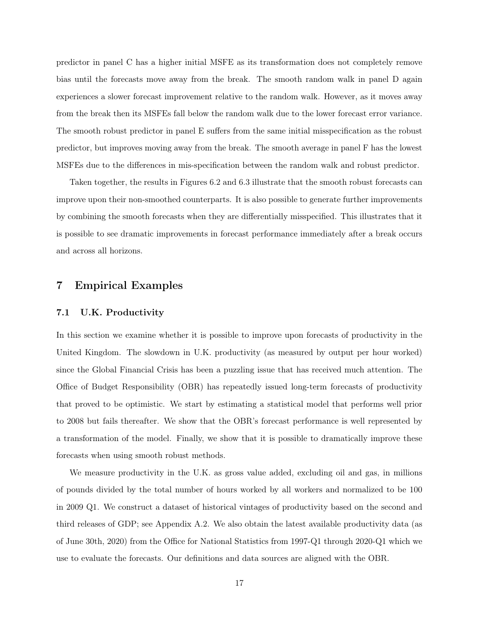predictor in panel C has a higher initial MSFE as its transformation does not completely remove bias until the forecasts move away from the break. The smooth random walk in panel D again experiences a slower forecast improvement relative to the random walk. However, as it moves away from the break then its MSFEs fall below the random walk due to the lower forecast error variance. The smooth robust predictor in panel E suffers from the same initial misspecification as the robust predictor, but improves moving away from the break. The smooth average in panel F has the lowest MSFEs due to the differences in mis-specification between the random walk and robust predictor.

Taken together, the results in Figures 6.2 and 6.3 illustrate that the smooth robust forecasts can improve upon their non-smoothed counterparts. It is also possible to generate further improvements by combining the smooth forecasts when they are differentially misspecified. This illustrates that it is possible to see dramatic improvements in forecast performance immediately after a break occurs and across all horizons.

## 7 Empirical Examples

#### 7.1 U.K. Productivity

In this section we examine whether it is possible to improve upon forecasts of productivity in the United Kingdom. The slowdown in U.K. productivity (as measured by output per hour worked) since the Global Financial Crisis has been a puzzling issue that has received much attention. The Office of Budget Responsibility (OBR) has repeatedly issued long-term forecasts of productivity that proved to be optimistic. We start by estimating a statistical model that performs well prior to 2008 but fails thereafter. We show that the OBR's forecast performance is well represented by a transformation of the model. Finally, we show that it is possible to dramatically improve these forecasts when using smooth robust methods.

We measure productivity in the U.K. as gross value added, excluding oil and gas, in millions of pounds divided by the total number of hours worked by all workers and normalized to be 100 in 2009 Q1. We construct a dataset of historical vintages of productivity based on the second and third releases of GDP; see Appendix A.2. We also obtain the latest available productivity data (as of June 30th, 2020) from the Office for National Statistics from 1997-Q1 through 2020-Q1 which we use to evaluate the forecasts. Our definitions and data sources are aligned with the OBR.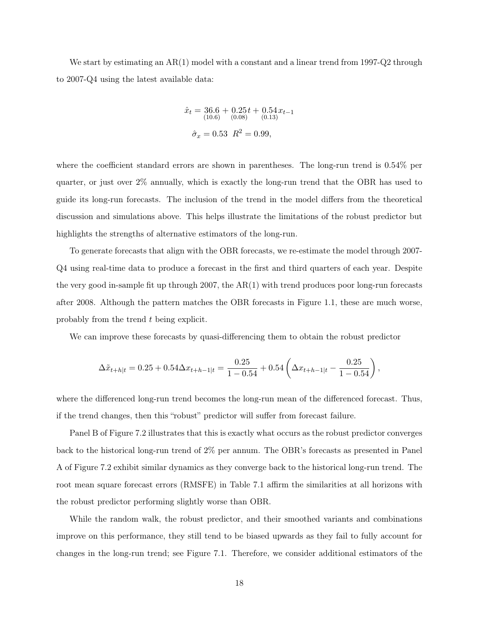We start by estimating an AR(1) model with a constant and a linear trend from 1997-Q2 through to 2007-Q4 using the latest available data:

$$
\hat{x}_t = 36.6 + 0.25t + 0.54 x_{t-1}
$$
  
(10.6) (0.08) (0.13)  

$$
\hat{\sigma}_x = 0.53 \ R^2 = 0.99,
$$

where the coefficient standard errors are shown in parentheses. The long-run trend is  $0.54\%$  per quarter, or just over 2% annually, which is exactly the long-run trend that the OBR has used to guide its long-run forecasts. The inclusion of the trend in the model differs from the theoretical discussion and simulations above. This helps illustrate the limitations of the robust predictor but highlights the strengths of alternative estimators of the long-run.

To generate forecasts that align with the OBR forecasts, we re-estimate the model through 2007- Q4 using real-time data to produce a forecast in the first and third quarters of each year. Despite the very good in-sample fit up through 2007, the AR(1) with trend produces poor long-run forecasts after 2008. Although the pattern matches the OBR forecasts in Figure 1.1, these are much worse, probably from the trend t being explicit.

We can improve these forecasts by quasi-differencing them to obtain the robust predictor

$$
\Delta \tilde{x}_{t+h|t} = 0.25 + 0.54 \Delta x_{t+h-1|t} = \frac{0.25}{1 - 0.54} + 0.54 \left( \Delta x_{t+h-1|t} - \frac{0.25}{1 - 0.54} \right),
$$

where the differenced long-run trend becomes the long-run mean of the differenced forecast. Thus, if the trend changes, then this "robust" predictor will suffer from forecast failure.

Panel B of Figure 7.2 illustrates that this is exactly what occurs as the robust predictor converges back to the historical long-run trend of 2% per annum. The OBR's forecasts as presented in Panel A of Figure 7.2 exhibit similar dynamics as they converge back to the historical long-run trend. The root mean square forecast errors (RMSFE) in Table 7.1 affirm the similarities at all horizons with the robust predictor performing slightly worse than OBR.

While the random walk, the robust predictor, and their smoothed variants and combinations improve on this performance, they still tend to be biased upwards as they fail to fully account for changes in the long-run trend; see Figure 7.1. Therefore, we consider additional estimators of the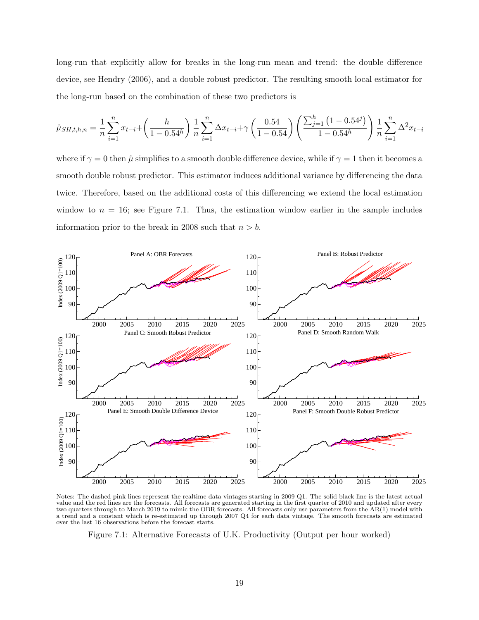long-run that explicitly allow for breaks in the long-run mean and trend: the double difference device, see Hendry (2006), and a double robust predictor. The resulting smooth local estimator for the long-run based on the combination of these two predictors is

$$
\hat{\mu}_{SH,t,h,n} = \frac{1}{n} \sum_{i=1}^{n} x_{t-i} + \left(\frac{h}{1 - 0.54^h}\right) \frac{1}{n} \sum_{i=1}^{n} \Delta x_{t-i} + \gamma \left(\frac{0.54}{1 - 0.54}\right) \left(\frac{\sum_{j=1}^{h} (1 - 0.54^j)}{1 - 0.54^h}\right) \frac{1}{n} \sum_{i=1}^{n} \Delta^2 x_{t-i}
$$

where if  $\gamma = 0$  then  $\hat{\mu}$  simplifies to a smooth double difference device, while if  $\gamma = 1$  then it becomes a smooth double robust predictor. This estimator induces additional variance by differencing the data twice. Therefore, based on the additional costs of this differencing we extend the local estimation window to  $n = 16$ ; see Figure 7.1. Thus, the estimation window earlier in the sample includes information prior to the break in 2008 such that  $n > b$ .



Notes: The dashed pink lines represent the realtime data vintages starting in 2009 Q1. The solid black line is the latest actual value and the red lines are the forecasts. All forecasts are generated starting in the first quarter of 2010 and updated after every two quarters through to March 2019 to mimic the OBR forecasts. All forecasts only use parameters from the AR(1) model with a trend and a constant which is re-estimated up through 2007 Q4 for each data vintage. The smooth forecasts are estimated over the last 16 observations before the forecast starts.

Figure 7.1: Alternative Forecasts of U.K. Productivity (Output per hour worked)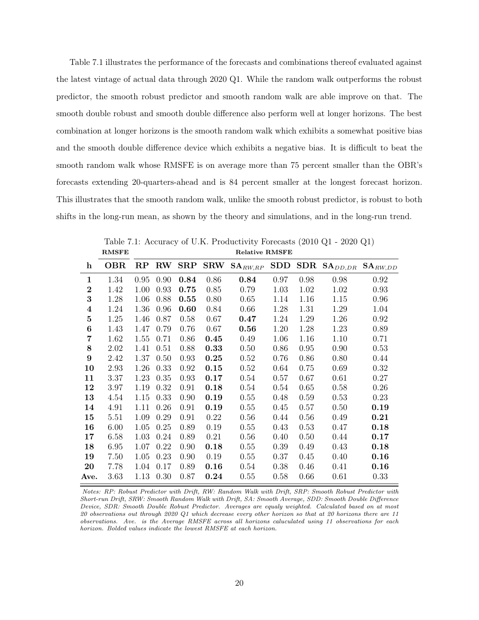Table 7.1 illustrates the performance of the forecasts and combinations thereof evaluated against the latest vintage of actual data through 2020 Q1. While the random walk outperforms the robust predictor, the smooth robust predictor and smooth random walk are able improve on that. The smooth double robust and smooth double difference also perform well at longer horizons. The best combination at longer horizons is the smooth random walk which exhibits a somewhat positive bias and the smooth double difference device which exhibits a negative bias. It is difficult to beat the smooth random walk whose RMSFE is on average more than 75 percent smaller than the OBR's forecasts extending 20-quarters-ahead and is 84 percent smaller at the longest forecast horizon. This illustrates that the smooth random walk, unlike the smooth robust predictor, is robust to both shifts in the long-run mean, as shown by the theory and simulations, and in the long-run trend.

| $\mathbf{h}$            | <b>OBR</b> | $\mathbf{RP}$ | ${\rm RW}$ | ${\rm SRP}$ | ${\bf SRW}$ | $\mathbf{SA}_{RW,RP}$ | SDD  |      | $SDR$ $SA$ <sub><i>DD,DR</i></sub> | $\mathbf{SA}_{RW,DD}$ |
|-------------------------|------------|---------------|------------|-------------|-------------|-----------------------|------|------|------------------------------------|-----------------------|
| $\mathbf{1}$            | 1.34       | 0.95          | 0.90       | 0.84        | 0.86        | 0.84                  | 0.97 | 0.98 | 0.98                               | 0.92                  |
| $\bf{2}$                | 1.42       | 1.00          | 0.93       | 0.75        | 0.85        | 0.79                  | 1.03 | 1.02 | 1.02                               | 0.93                  |
| 3                       | 1.28       | 1.06          | 0.88       | 0.55        | 0.80        | 0.65                  | 1.14 | 1.16 | 1.15                               | 0.96                  |
| $\overline{\mathbf{4}}$ | 1.24       | 1.36          | 0.96       | 0.60        | 0.84        | 0.66                  | 1.28 | 1.31 | 1.29                               | 1.04                  |
| $\mathbf{5}$            | 1.25       | 1.46          | 0.87       | 0.58        | 0.67        | 0.47                  | 1.24 | 1.29 | 1.26                               | 0.92                  |
| $\boldsymbol{6}$        | 1.43       | 1.47          | 0.79       | 0.76        | 0.67        | 0.56                  | 1.20 | 1.28 | 1.23                               | 0.89                  |
| $\overline{7}$          | 1.62       | 1.55          | 0.71       | 0.86        | 0.45        | 0.49                  | 1.06 | 1.16 | 1.10                               | 0.71                  |
| 8                       | 2.02       | 1.41          | 0.51       | 0.88        | 0.33        | 0.50                  | 0.86 | 0.95 | 0.90                               | 0.53                  |
| 9                       | 2.42       | 1.37          | 0.50       | 0.93        | 0.25        | 0.52                  | 0.76 | 0.86 | 0.80                               | 0.44                  |
| 10                      | 2.93       | 1.26          | 0.33       | 0.92        | 0.15        | 0.52                  | 0.64 | 0.75 | 0.69                               | 0.32                  |
| 11                      | 3.37       | 1.23          | 0.35       | 0.93        | 0.17        | 0.54                  | 0.57 | 0.67 | 0.61                               | 0.27                  |
| 12                      | 3.97       | 1.19          | 0.32       | 0.91        | 0.18        | 0.54                  | 0.54 | 0.65 | 0.58                               | 0.26                  |
| 13                      | 4.54       | 1.15          | 0.33       | 0.90        | 0.19        | 0.55                  | 0.48 | 0.59 | 0.53                               | 0.23                  |
| 14                      | 4.91       | 1.11          | 0.26       | 0.91        | 0.19        | 0.55                  | 0.45 | 0.57 | 0.50                               | 0.19                  |
| 15                      | 5.51       | 1.09          | 0.29       | 0.91        | 0.22        | 0.56                  | 0.44 | 0.56 | 0.49                               | 0.21                  |
| 16                      | 6.00       | 1.05          | 0.25       | 0.89        | 0.19        | 0.55                  | 0.43 | 0.53 | 0.47                               | 0.18                  |
| 17                      | 6.58       | 1.03          | 0.24       | 0.89        | 0.21        | 0.56                  | 0.40 | 0.50 | 0.44                               | 0.17                  |
| 18                      | 6.95       | 1.07          | 0.22       | 0.90        | 0.18        | 0.55                  | 0.39 | 0.49 | 0.43                               | 0.18                  |
| 19                      | 7.50       | 1.05          | 0.23       | 0.90        | 0.19        | 0.55                  | 0.37 | 0.45 | 0.40                               | 0.16                  |
| 20                      | 7.78       | 1.04          | 0.17       | 0.89        | 0.16        | 0.54                  | 0.38 | 0.46 | 0.41                               | 0.16                  |
| Ave.                    | 3.63       | 1.13          | 0.30       | 0.87        | 0.24        | 0.55                  | 0.58 | 0.66 | 0.61                               | 0.33                  |

Table 7.1: Accuracy of U.K. Productivity Forecasts (2010 Q1 - 2020 Q1) RMSFE RELATION Relative RMSFE

Notes: RP: Robust Predictor with Drift, RW: Random Walk with Drift, SRP: Smooth Robust Predictor with Short-run Drift, SRW: Smooth Random Walk with Drift, SA: Smooth Average, SDD: Smooth Double Difference Device, SDR: Smooth Double Robust Predictor. Averages are equaly weighted. Calculated based on at most 20 observations out through 2020 Q1 which decrease every other horizon so that at 20 horizons there are 11 observations. Ave. is the Average RMSFE across all horizons caluculated using 11 observations for each horizon. Bolded values indicate the lowest RMSFE at each horizon.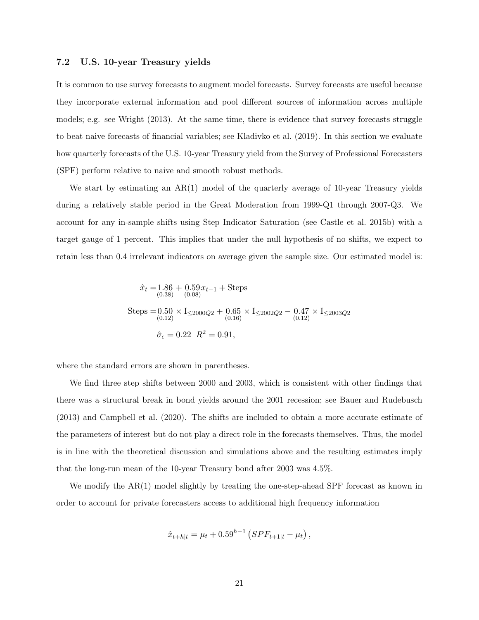#### 7.2 U.S. 10-year Treasury yields

It is common to use survey forecasts to augment model forecasts. Survey forecasts are useful because they incorporate external information and pool different sources of information across multiple models; e.g. see Wright (2013). At the same time, there is evidence that survey forecasts struggle to beat naive forecasts of financial variables; see Kladivko et al. (2019). In this section we evaluate how quarterly forecasts of the U.S. 10-year Treasury yield from the Survey of Professional Forecasters (SPF) perform relative to naive and smooth robust methods.

We start by estimating an AR(1) model of the quarterly average of 10-year Treasury yields during a relatively stable period in the Great Moderation from 1999-Q1 through 2007-Q3. We account for any in-sample shifts using Step Indicator Saturation (see Castle et al. 2015b) with a target gauge of 1 percent. This implies that under the null hypothesis of no shifts, we expect to retain less than 0.4 irrelevant indicators on average given the sample size. Our estimated model is:

$$
\hat{x}_t = 1.86 + 0.59 x_{t-1} + \text{Steps}
$$
  
Steps =  $0.50 \times I_{\leq 2000Q2} + 0.65 \times I_{\leq 2002Q2} - 0.47 \times I_{\leq 2003Q2}$   

$$
\hat{\sigma}_{\epsilon} = 0.22 \ R^2 = 0.91,
$$

where the standard errors are shown in parentheses.

We find three step shifts between 2000 and 2003, which is consistent with other findings that there was a structural break in bond yields around the 2001 recession; see Bauer and Rudebusch (2013) and Campbell et al. (2020). The shifts are included to obtain a more accurate estimate of the parameters of interest but do not play a direct role in the forecasts themselves. Thus, the model is in line with the theoretical discussion and simulations above and the resulting estimates imply that the long-run mean of the 10-year Treasury bond after 2003 was 4.5%.

We modify the AR(1) model slightly by treating the one-step-ahead SPF forecast as known in order to account for private forecasters access to additional high frequency information

$$
\hat{x}_{t+h|t} = \mu_t + 0.59^{h-1} \left( SPF_{t+1|t} - \mu_t \right),
$$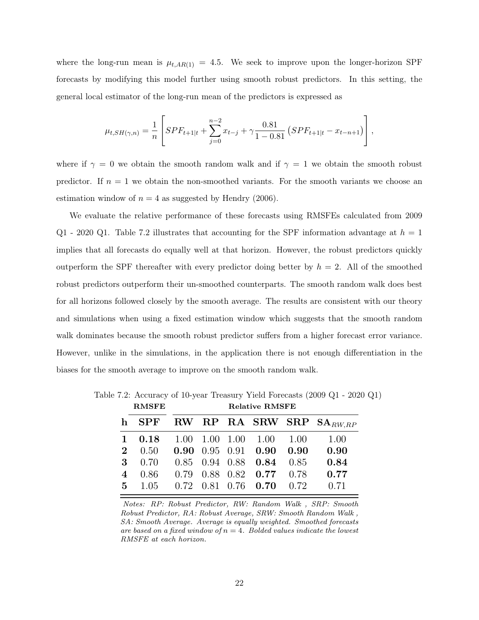where the long-run mean is  $\mu_{t,AR(1)} = 4.5$ . We seek to improve upon the longer-horizon SPF forecasts by modifying this model further using smooth robust predictors. In this setting, the general local estimator of the long-run mean of the predictors is expressed as

$$
\mu_{t,SH(\gamma,n)} = \frac{1}{n} \left[ SPF_{t+1|t} + \sum_{j=0}^{n-2} x_{t-j} + \gamma \frac{0.81}{1 - 0.81} \left( SPF_{t+1|t} - x_{t-n+1} \right) \right],
$$

where if  $\gamma = 0$  we obtain the smooth random walk and if  $\gamma = 1$  we obtain the smooth robust predictor. If  $n = 1$  we obtain the non-smoothed variants. For the smooth variants we choose an estimation window of  $n = 4$  as suggested by Hendry (2006).

We evaluate the relative performance of these forecasts using RMSFEs calculated from 2009 Q1 - 2020 Q1. Table 7.2 illustrates that accounting for the SPF information advantage at  $h = 1$ implies that all forecasts do equally well at that horizon. However, the robust predictors quickly outperform the SPF thereafter with every predictor doing better by  $h = 2$ . All of the smoothed robust predictors outperform their un-smoothed counterparts. The smooth random walk does best for all horizons followed closely by the smooth average. The results are consistent with our theory and simulations when using a fixed estimation window which suggests that the smooth random walk dominates because the smooth robust predictor suffers from a higher forecast error variance. However, unlike in the simulations, in the application there is not enough differentiation in the biases for the smooth average to improve on the smooth random walk.

|                | <b>RMSFE</b> | <b>Relative RMSFE</b> |  |  |                                                    |      |                               |  |  |  |
|----------------|--------------|-----------------------|--|--|----------------------------------------------------|------|-------------------------------|--|--|--|
|                | <b>SPF</b>   |                       |  |  |                                                    |      | RW RP RA SRW SRP $SA_{RW,RP}$ |  |  |  |
|                | 0.18         |                       |  |  | $1.00 \quad 1.00 \quad 1.00 \quad 1.00 \quad 1.00$ |      | 1.00                          |  |  |  |
| $\bf{2}$       | 0.50         |                       |  |  | $0.90\quad 0.95\quad 0.91\quad 0.90$               | 0.90 | 0.90                          |  |  |  |
| 3              | 0.70         |                       |  |  | $0.85$ $0.94$ $0.88$ $0.84$                        | 0.85 | 0.84                          |  |  |  |
| 4              | 0.86         |                       |  |  | $0.79$ $0.88$ $0.82$ $0.77$                        | 0.78 | 0.77                          |  |  |  |
| 5 <sup>1</sup> | 1.05         |                       |  |  | $0.72$ $0.81$ $0.76$ $0.70$                        | 0.72 | 0.71                          |  |  |  |

Table 7.2: Accuracy of 10-year Treasury Yield Forecasts (2009 Q1 - 2020 Q1)

Notes: RP: Robust Predictor, RW: Random Walk , SRP: Smooth Robust Predictor, RA: Robust Average, SRW: Smooth Random Walk , SA: Smooth Average. Average is equally weighted. Smoothed forecasts are based on a fixed window of  $n = 4$ . Bolded values indicate the lowest RMSFE at each horizon.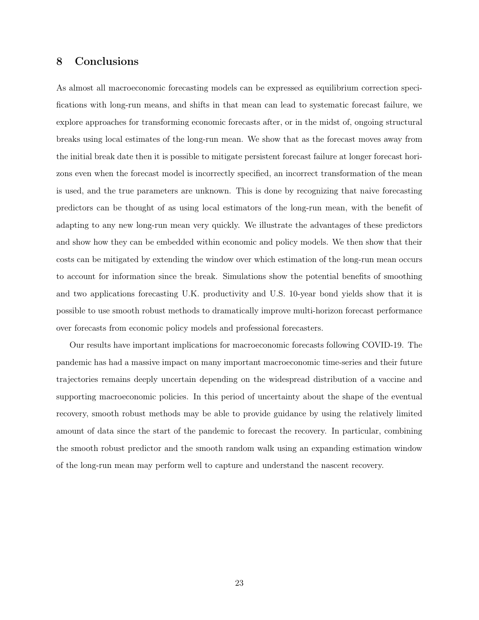## 8 Conclusions

As almost all macroeconomic forecasting models can be expressed as equilibrium correction specifications with long-run means, and shifts in that mean can lead to systematic forecast failure, we explore approaches for transforming economic forecasts after, or in the midst of, ongoing structural breaks using local estimates of the long-run mean. We show that as the forecast moves away from the initial break date then it is possible to mitigate persistent forecast failure at longer forecast horizons even when the forecast model is incorrectly specified, an incorrect transformation of the mean is used, and the true parameters are unknown. This is done by recognizing that naive forecasting predictors can be thought of as using local estimators of the long-run mean, with the benefit of adapting to any new long-run mean very quickly. We illustrate the advantages of these predictors and show how they can be embedded within economic and policy models. We then show that their costs can be mitigated by extending the window over which estimation of the long-run mean occurs to account for information since the break. Simulations show the potential benefits of smoothing and two applications forecasting U.K. productivity and U.S. 10-year bond yields show that it is possible to use smooth robust methods to dramatically improve multi-horizon forecast performance over forecasts from economic policy models and professional forecasters.

Our results have important implications for macroeconomic forecasts following COVID-19. The pandemic has had a massive impact on many important macroeconomic time-series and their future trajectories remains deeply uncertain depending on the widespread distribution of a vaccine and supporting macroeconomic policies. In this period of uncertainty about the shape of the eventual recovery, smooth robust methods may be able to provide guidance by using the relatively limited amount of data since the start of the pandemic to forecast the recovery. In particular, combining the smooth robust predictor and the smooth random walk using an expanding estimation window of the long-run mean may perform well to capture and understand the nascent recovery.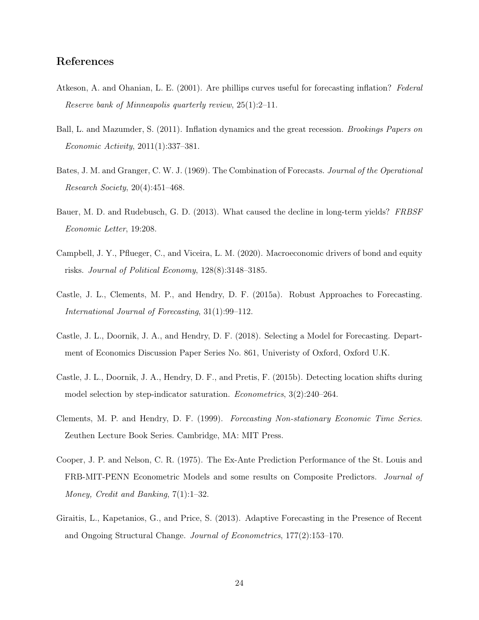## References

- Atkeson, A. and Ohanian, L. E. (2001). Are phillips curves useful for forecasting inflation? Federal Reserve bank of Minneapolis quarterly review, 25(1):2–11.
- Ball, L. and Mazumder, S. (2011). Inflation dynamics and the great recession. Brookings Papers on Economic Activity, 2011(1):337–381.
- Bates, J. M. and Granger, C. W. J. (1969). The Combination of Forecasts. Journal of the Operational *Research Society,*  $20(4):451-468$ .
- Bauer, M. D. and Rudebusch, G. D. (2013). What caused the decline in long-term yields? FRBSF Economic Letter, 19:208.
- Campbell, J. Y., Pflueger, C., and Viceira, L. M. (2020). Macroeconomic drivers of bond and equity risks. Journal of Political Economy, 128(8):3148–3185.
- Castle, J. L., Clements, M. P., and Hendry, D. F. (2015a). Robust Approaches to Forecasting. International Journal of Forecasting, 31(1):99–112.
- Castle, J. L., Doornik, J. A., and Hendry, D. F. (2018). Selecting a Model for Forecasting. Department of Economics Discussion Paper Series No. 861, Univeristy of Oxford, Oxford U.K.
- Castle, J. L., Doornik, J. A., Hendry, D. F., and Pretis, F. (2015b). Detecting location shifts during model selection by step-indicator saturation. Econometrics, 3(2):240–264.
- Clements, M. P. and Hendry, D. F. (1999). Forecasting Non-stationary Economic Time Series. Zeuthen Lecture Book Series. Cambridge, MA: MIT Press.
- Cooper, J. P. and Nelson, C. R. (1975). The Ex-Ante Prediction Performance of the St. Louis and FRB-MIT-PENN Econometric Models and some results on Composite Predictors. Journal of Money, Credit and Banking, 7(1):1–32.
- Giraitis, L., Kapetanios, G., and Price, S. (2013). Adaptive Forecasting in the Presence of Recent and Ongoing Structural Change. Journal of Econometrics, 177(2):153–170.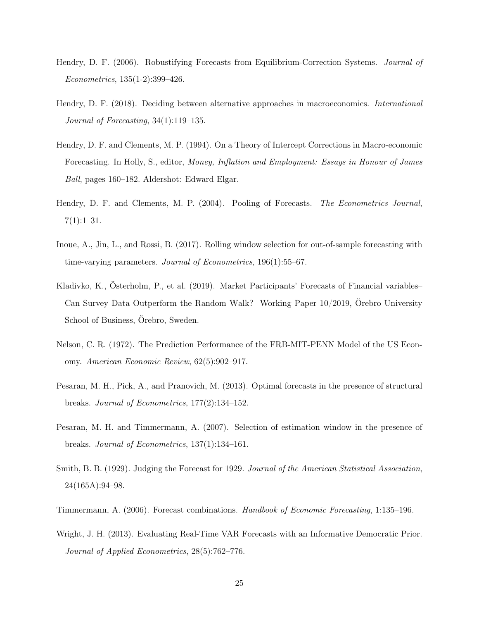- Hendry, D. F. (2006). Robustifying Forecasts from Equilibrium-Correction Systems. *Journal of* Econometrics, 135(1-2):399–426.
- Hendry, D. F. (2018). Deciding between alternative approaches in macroeconomics. International Journal of Forecasting, 34(1):119–135.
- Hendry, D. F. and Clements, M. P. (1994). On a Theory of Intercept Corrections in Macro-economic Forecasting. In Holly, S., editor, Money, Inflation and Employment: Essays in Honour of James Ball, pages 160–182. Aldershot: Edward Elgar.
- Hendry, D. F. and Clements, M. P. (2004). Pooling of Forecasts. The Econometrics Journal,  $7(1):1-31.$
- Inoue, A., Jin, L., and Rossi, B. (2017). Rolling window selection for out-of-sample forecasting with time-varying parameters. Journal of Econometrics, 196(1):55–67.
- Kladivko, K., Österholm, P., et al. (2019). Market Participants' Forecasts of Financial variables– Can Survey Data Outperform the Random Walk? Working Paper 10/2019, Örebro University School of Business, Örebro, Sweden.
- Nelson, C. R. (1972). The Prediction Performance of the FRB-MIT-PENN Model of the US Economy. American Economic Review, 62(5):902–917.
- Pesaran, M. H., Pick, A., and Pranovich, M. (2013). Optimal forecasts in the presence of structural breaks. Journal of Econometrics, 177(2):134–152.
- Pesaran, M. H. and Timmermann, A. (2007). Selection of estimation window in the presence of breaks. Journal of Econometrics, 137(1):134–161.
- Smith, B. B. (1929). Judging the Forecast for 1929. Journal of the American Statistical Association, 24(165A):94–98.
- Timmermann, A. (2006). Forecast combinations. Handbook of Economic Forecasting, 1:135–196.
- Wright, J. H. (2013). Evaluating Real-Time VAR Forecasts with an Informative Democratic Prior. Journal of Applied Econometrics, 28(5):762–776.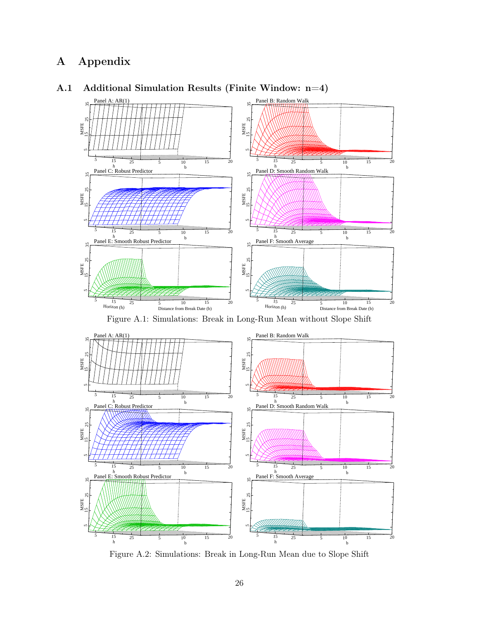# A Appendix



## A.1 Additional Simulation Results (Finite Window: n=4)

Figure A.1: Simulations: Break in Long-Run Mean without Slope Shift



Figure A.2: Simulations: Break in Long-Run Mean due to Slope Shift